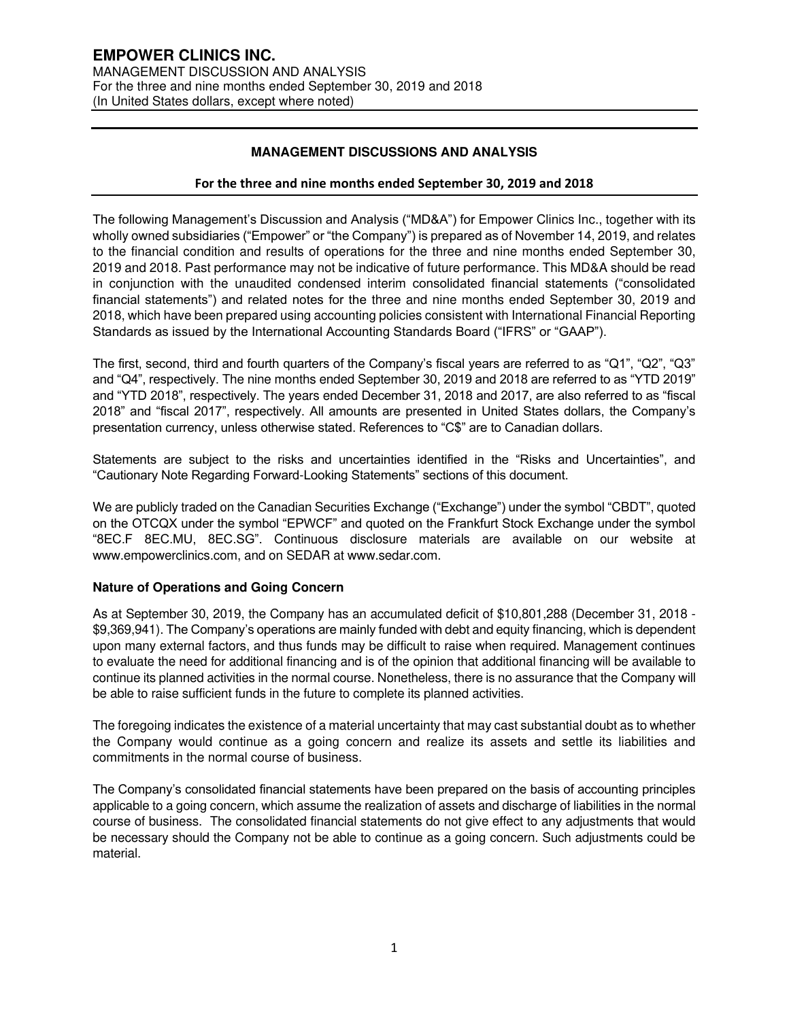# **MANAGEMENT DISCUSSIONS AND ANALYSIS**

# **For the three and nine months ended September 30, 2019 and 2018**

The following Management's Discussion and Analysis ("MD&A") for Empower Clinics Inc., together with its wholly owned subsidiaries ("Empower" or "the Company") is prepared as of November 14, 2019, and relates to the financial condition and results of operations for the three and nine months ended September 30, 2019 and 2018. Past performance may not be indicative of future performance. This MD&A should be read in conjunction with the unaudited condensed interim consolidated financial statements ("consolidated financial statements") and related notes for the three and nine months ended September 30, 2019 and 2018, which have been prepared using accounting policies consistent with International Financial Reporting Standards as issued by the International Accounting Standards Board ("IFRS" or "GAAP").

The first, second, third and fourth quarters of the Company's fiscal years are referred to as "Q1", "Q2", "Q3" and "Q4", respectively. The nine months ended September 30, 2019 and 2018 are referred to as "YTD 2019" and "YTD 2018", respectively. The years ended December 31, 2018 and 2017, are also referred to as "fiscal 2018" and "fiscal 2017", respectively. All amounts are presented in United States dollars, the Company's presentation currency, unless otherwise stated. References to "C\$" are to Canadian dollars.

Statements are subject to the risks and uncertainties identified in the "Risks and Uncertainties", and "Cautionary Note Regarding Forward-Looking Statements" sections of this document.

We are publicly traded on the Canadian Securities Exchange ("Exchange") under the symbol "CBDT", quoted on the OTCQX under the symbol "EPWCF" and quoted on the Frankfurt Stock Exchange under the symbol "8EC.F 8EC.MU, 8EC.SG". Continuous disclosure materials are available on our website at www.empowerclinics.com, and on SEDAR at www.sedar.com.

# **Nature of Operations and Going Concern**

As at September 30, 2019, the Company has an accumulated deficit of \$10,801,288 (December 31, 2018 - \$9,369,941). The Company's operations are mainly funded with debt and equity financing, which is dependent upon many external factors, and thus funds may be difficult to raise when required. Management continues to evaluate the need for additional financing and is of the opinion that additional financing will be available to continue its planned activities in the normal course. Nonetheless, there is no assurance that the Company will be able to raise sufficient funds in the future to complete its planned activities.

The foregoing indicates the existence of a material uncertainty that may cast substantial doubt as to whether the Company would continue as a going concern and realize its assets and settle its liabilities and commitments in the normal course of business.

The Company's consolidated financial statements have been prepared on the basis of accounting principles applicable to a going concern, which assume the realization of assets and discharge of liabilities in the normal course of business. The consolidated financial statements do not give effect to any adjustments that would be necessary should the Company not be able to continue as a going concern. Such adjustments could be material.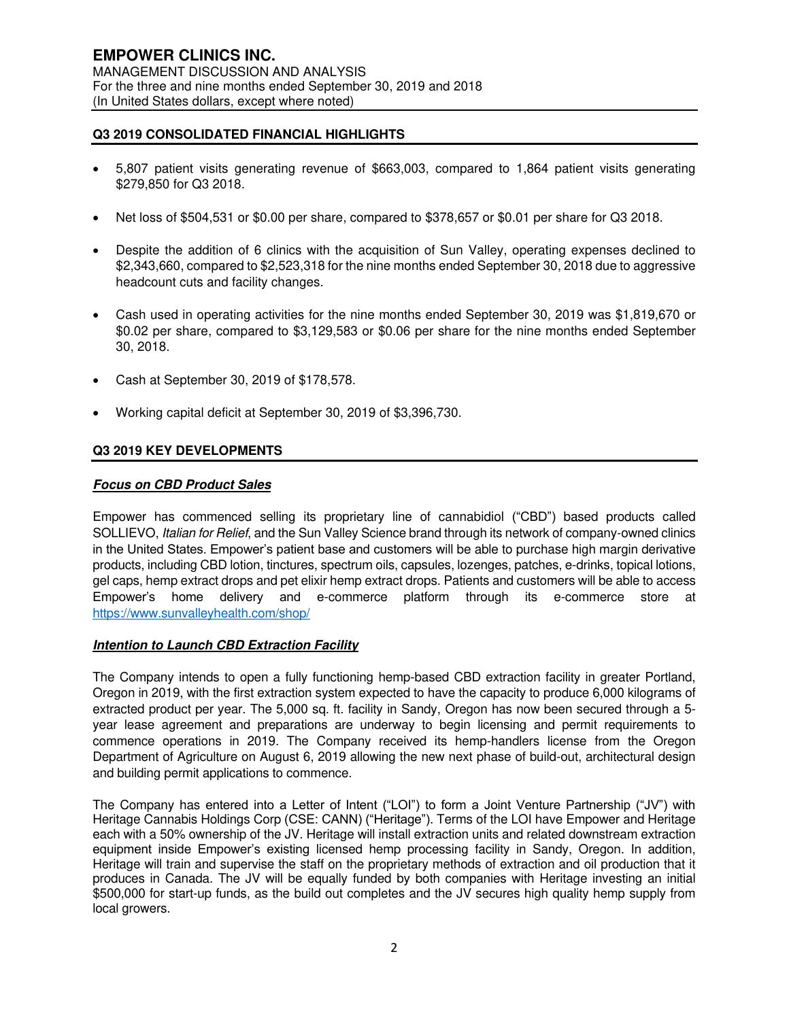# **Q3 2019 CONSOLIDATED FINANCIAL HIGHLIGHTS**

- 5,807 patient visits generating revenue of \$663,003, compared to 1,864 patient visits generating \$279,850 for Q3 2018.
- Net loss of \$504,531 or \$0.00 per share, compared to \$378,657 or \$0.01 per share for Q3 2018.
- Despite the addition of 6 clinics with the acquisition of Sun Valley, operating expenses declined to \$2,343,660, compared to \$2,523,318 for the nine months ended September 30, 2018 due to aggressive headcount cuts and facility changes.
- Cash used in operating activities for the nine months ended September 30, 2019 was \$1,819,670 or \$0.02 per share, compared to \$3,129,583 or \$0.06 per share for the nine months ended September 30, 2018.
- Cash at September 30, 2019 of \$178,578.
- Working capital deficit at September 30, 2019 of \$3,396,730.

# **Q3 2019 KEY DEVELOPMENTS**

# **Focus on CBD Product Sales**

Empower has commenced selling its proprietary line of cannabidiol ("CBD") based products called SOLLIEVO, Italian for Relief, and the Sun Valley Science brand through its network of company-owned clinics in the United States. Empower's patient base and customers will be able to purchase high margin derivative products, including CBD lotion, tinctures, spectrum oils, capsules, lozenges, patches, e-drinks, topical lotions, gel caps, hemp extract drops and pet elixir hemp extract drops. Patients and customers will be able to access Empower's home delivery and e-commerce platform through its e-commerce store at <https://www.sunvalleyhealth.com/shop/>

# **Intention to Launch CBD Extraction Facility**

The Company intends to open a fully functioning hemp-based CBD extraction facility in greater Portland, Oregon in 2019, with the first extraction system expected to have the capacity to produce 6,000 kilograms of extracted product per year. The 5,000 sq. ft. facility in Sandy, Oregon has now been secured through a 5 year lease agreement and preparations are underway to begin licensing and permit requirements to commence operations in 2019. The Company received its hemp-handlers license from the Oregon Department of Agriculture on August 6, 2019 allowing the new next phase of build-out, architectural design and building permit applications to commence.

The Company has entered into a Letter of Intent ("LOI") to form a Joint Venture Partnership ("JV") with Heritage Cannabis Holdings Corp (CSE: CANN) ("Heritage"). Terms of the LOI have Empower and Heritage each with a 50% ownership of the JV. Heritage will install extraction units and related downstream extraction equipment inside Empower's existing licensed hemp processing facility in Sandy, Oregon. In addition, Heritage will train and supervise the staff on the proprietary methods of extraction and oil production that it produces in Canada. The JV will be equally funded by both companies with Heritage investing an initial \$500,000 for start-up funds, as the build out completes and the JV secures high quality hemp supply from local growers.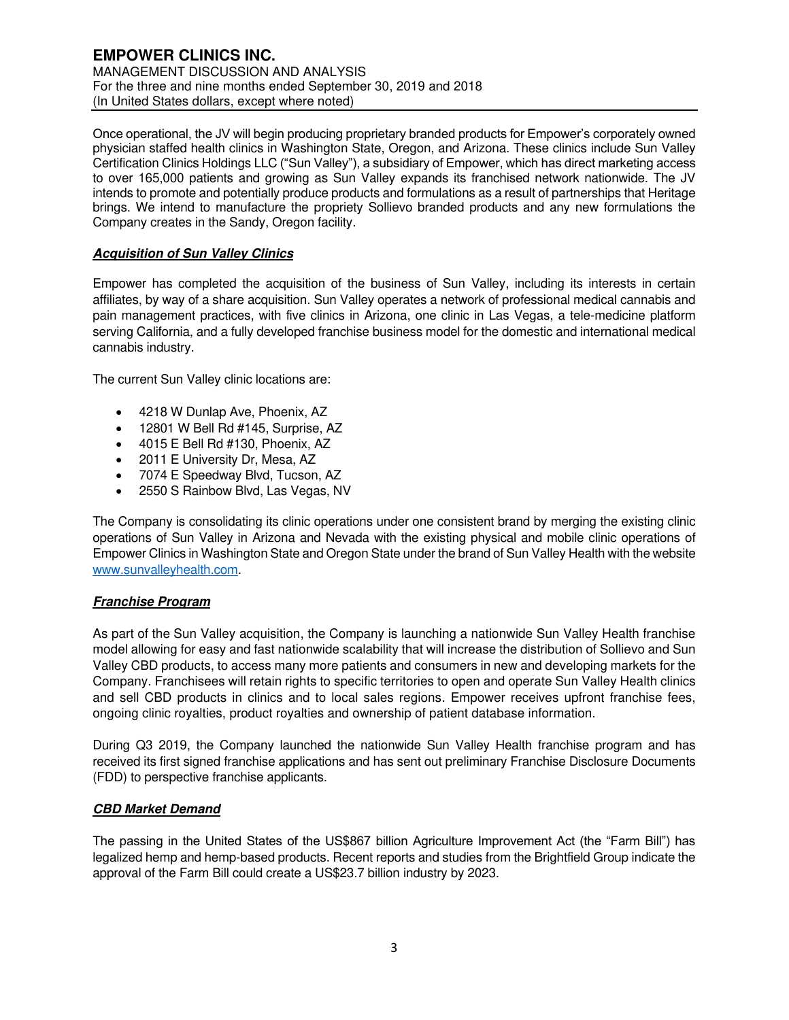# **EMPOWER CLINICS INC.**  MANAGEMENT DISCUSSION AND ANALYSIS For the three and nine months ended September 30, 2019 and 2018 (In United States dollars, except where noted)

Once operational, the JV will begin producing proprietary branded products for Empower's corporately owned physician staffed health clinics in Washington State, Oregon, and Arizona. These clinics include Sun Valley Certification Clinics Holdings LLC ("Sun Valley"), a subsidiary of Empower, which has direct marketing access to over 165,000 patients and growing as Sun Valley expands its franchised network nationwide. The JV intends to promote and potentially produce products and formulations as a result of partnerships that Heritage brings. We intend to manufacture the propriety Sollievo branded products and any new formulations the Company creates in the Sandy, Oregon facility.

# **Acquisition of Sun Valley Clinics**

Empower has completed the acquisition of the business of Sun Valley, including its interests in certain affiliates, by way of a share acquisition. Sun Valley operates a network of professional medical cannabis and pain management practices, with five clinics in Arizona, one clinic in Las Vegas, a tele-medicine platform serving California, and a fully developed franchise business model for the domestic and international medical cannabis industry.

The current Sun Valley clinic locations are:

- 4218 W Dunlap Ave, Phoenix, AZ
- 12801 W Bell Rd #145, Surprise, AZ
- 4015 E Bell Rd #130, Phoenix, AZ
- 2011 E University Dr, Mesa, AZ
- 7074 E Speedway Blvd, Tucson, AZ
- 2550 S Rainbow Blvd, Las Vegas, NV

The Company is consolidating its clinic operations under one consistent brand by merging the existing clinic operations of Sun Valley in Arizona and Nevada with the existing physical and mobile clinic operations of Empower Clinics in Washington State and Oregon State under the brand of Sun Valley Health with the website [www.sunvalleyhealth.com.](http://www.sunvalleyhealth.com/)

# **Franchise Program**

As part of the Sun Valley acquisition, the Company is launching a nationwide Sun Valley Health franchise model allowing for easy and fast nationwide scalability that will increase the distribution of Sollievo and Sun Valley CBD products, to access many more patients and consumers in new and developing markets for the Company. Franchisees will retain rights to specific territories to open and operate Sun Valley Health clinics and sell CBD products in clinics and to local sales regions. Empower receives upfront franchise fees, ongoing clinic royalties, product royalties and ownership of patient database information.

During Q3 2019, the Company launched the nationwide Sun Valley Health franchise program and has received its first signed franchise applications and has sent out preliminary Franchise Disclosure Documents (FDD) to perspective franchise applicants.

# **CBD Market Demand**

The passing in the United States of the US\$867 billion Agriculture Improvement Act (the "Farm Bill") has legalized hemp and hemp-based products. Recent reports and studies from the Brightfield Group indicate the approval of the Farm Bill could create a US\$23.7 billion industry by 2023.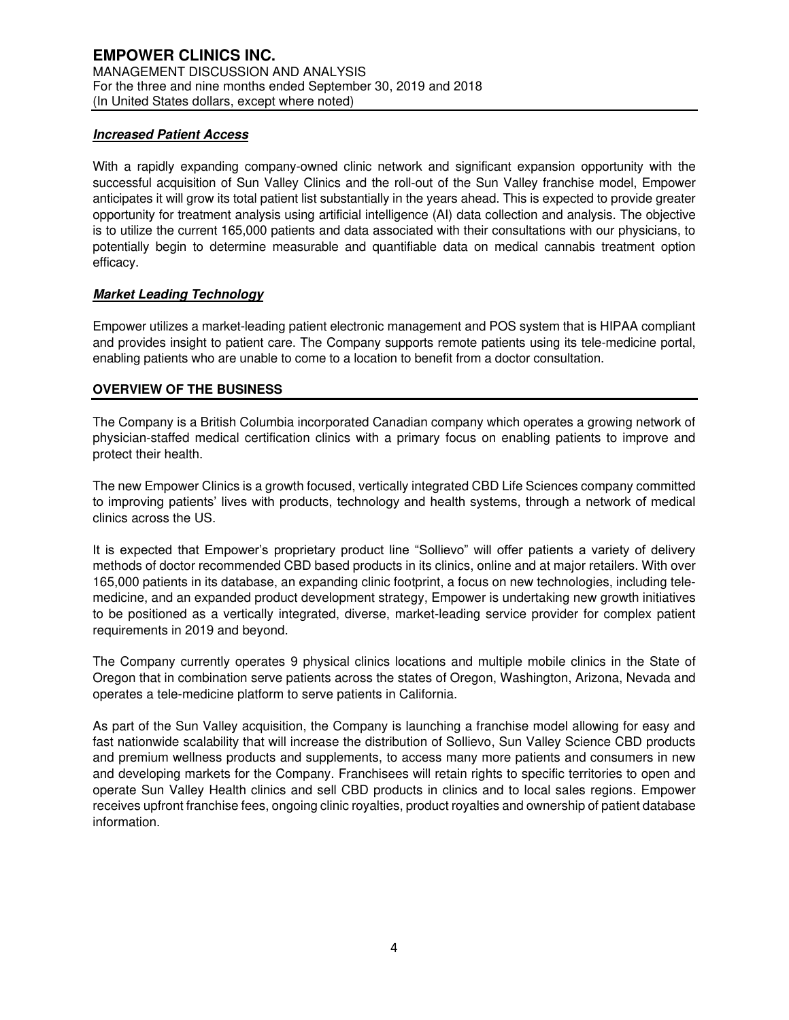# **Increased Patient Access**

With a rapidly expanding company-owned clinic network and significant expansion opportunity with the successful acquisition of Sun Valley Clinics and the roll-out of the Sun Valley franchise model, Empower anticipates it will grow its total patient list substantially in the years ahead. This is expected to provide greater opportunity for treatment analysis using artificial intelligence (AI) data collection and analysis. The objective is to utilize the current 165,000 patients and data associated with their consultations with our physicians, to potentially begin to determine measurable and quantifiable data on medical cannabis treatment option efficacy.

# **Market Leading Technology**

Empower utilizes a market-leading patient electronic management and POS system that is HIPAA compliant and provides insight to patient care. The Company supports remote patients using its tele-medicine portal, enabling patients who are unable to come to a location to benefit from a doctor consultation.

# **OVERVIEW OF THE BUSINESS**

The Company is a British Columbia incorporated Canadian company which operates a growing network of physician-staffed medical certification clinics with a primary focus on enabling patients to improve and protect their health.

The new Empower Clinics is a growth focused, vertically integrated CBD Life Sciences company committed to improving patients' lives with products, technology and health systems, through a network of medical clinics across the US.

It is expected that Empower's proprietary product line "Sollievo" will offer patients a variety of delivery methods of doctor recommended CBD based products in its clinics, online and at major retailers. With over 165,000 patients in its database, an expanding clinic footprint, a focus on new technologies, including telemedicine, and an expanded product development strategy, Empower is undertaking new growth initiatives to be positioned as a vertically integrated, diverse, market-leading service provider for complex patient requirements in 2019 and beyond.

The Company currently operates 9 physical clinics locations and multiple mobile clinics in the State of Oregon that in combination serve patients across the states of Oregon, Washington, Arizona, Nevada and operates a tele-medicine platform to serve patients in California.

As part of the Sun Valley acquisition, the Company is launching a franchise model allowing for easy and fast nationwide scalability that will increase the distribution of Sollievo, Sun Valley Science CBD products and premium wellness products and supplements, to access many more patients and consumers in new and developing markets for the Company. Franchisees will retain rights to specific territories to open and operate Sun Valley Health clinics and sell CBD products in clinics and to local sales regions. Empower receives upfront franchise fees, ongoing clinic royalties, product royalties and ownership of patient database information.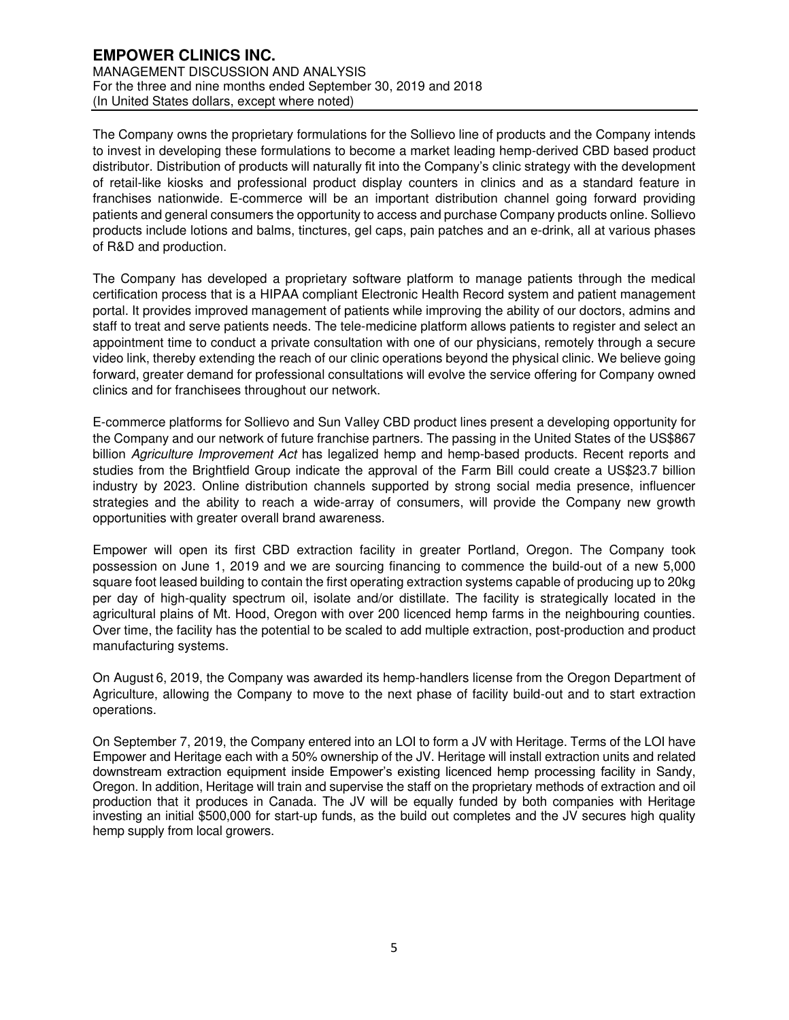The Company owns the proprietary formulations for the Sollievo line of products and the Company intends to invest in developing these formulations to become a market leading hemp-derived CBD based product distributor. Distribution of products will naturally fit into the Company's clinic strategy with the development of retail-like kiosks and professional product display counters in clinics and as a standard feature in franchises nationwide. E-commerce will be an important distribution channel going forward providing patients and general consumers the opportunity to access and purchase Company products online. Sollievo products include lotions and balms, tinctures, gel caps, pain patches and an e-drink, all at various phases of R&D and production.

The Company has developed a proprietary software platform to manage patients through the medical certification process that is a HIPAA compliant Electronic Health Record system and patient management portal. It provides improved management of patients while improving the ability of our doctors, admins and staff to treat and serve patients needs. The tele-medicine platform allows patients to register and select an appointment time to conduct a private consultation with one of our physicians, remotely through a secure video link, thereby extending the reach of our clinic operations beyond the physical clinic. We believe going forward, greater demand for professional consultations will evolve the service offering for Company owned clinics and for franchisees throughout our network.

E-commerce platforms for Sollievo and Sun Valley CBD product lines present a developing opportunity for the Company and our network of future franchise partners. The passing in the United States of the US\$867 billion Agriculture Improvement Act has legalized hemp and hemp-based products. Recent reports and studies from the Brightfield Group indicate the approval of the Farm Bill could create a US\$23.7 billion industry by 2023. Online distribution channels supported by strong social media presence, influencer strategies and the ability to reach a wide-array of consumers, will provide the Company new growth opportunities with greater overall brand awareness.

Empower will open its first CBD extraction facility in greater Portland, Oregon. The Company took possession on June 1, 2019 and we are sourcing financing to commence the build-out of a new 5,000 square foot leased building to contain the first operating extraction systems capable of producing up to 20kg per day of high-quality spectrum oil, isolate and/or distillate. The facility is strategically located in the agricultural plains of Mt. Hood, Oregon with over 200 licenced hemp farms in the neighbouring counties. Over time, the facility has the potential to be scaled to add multiple extraction, post-production and product manufacturing systems.

On August 6, 2019, the Company was awarded its hemp-handlers license from the Oregon Department of Agriculture, allowing the Company to move to the next phase of facility build-out and to start extraction operations.

On September 7, 2019, the Company entered into an LOI to form a JV with Heritage. Terms of the LOI have Empower and Heritage each with a 50% ownership of the JV. Heritage will install extraction units and related downstream extraction equipment inside Empower's existing licenced hemp processing facility in Sandy, Oregon. In addition, Heritage will train and supervise the staff on the proprietary methods of extraction and oil production that it produces in Canada. The JV will be equally funded by both companies with Heritage investing an initial \$500,000 for start-up funds, as the build out completes and the JV secures high quality hemp supply from local growers.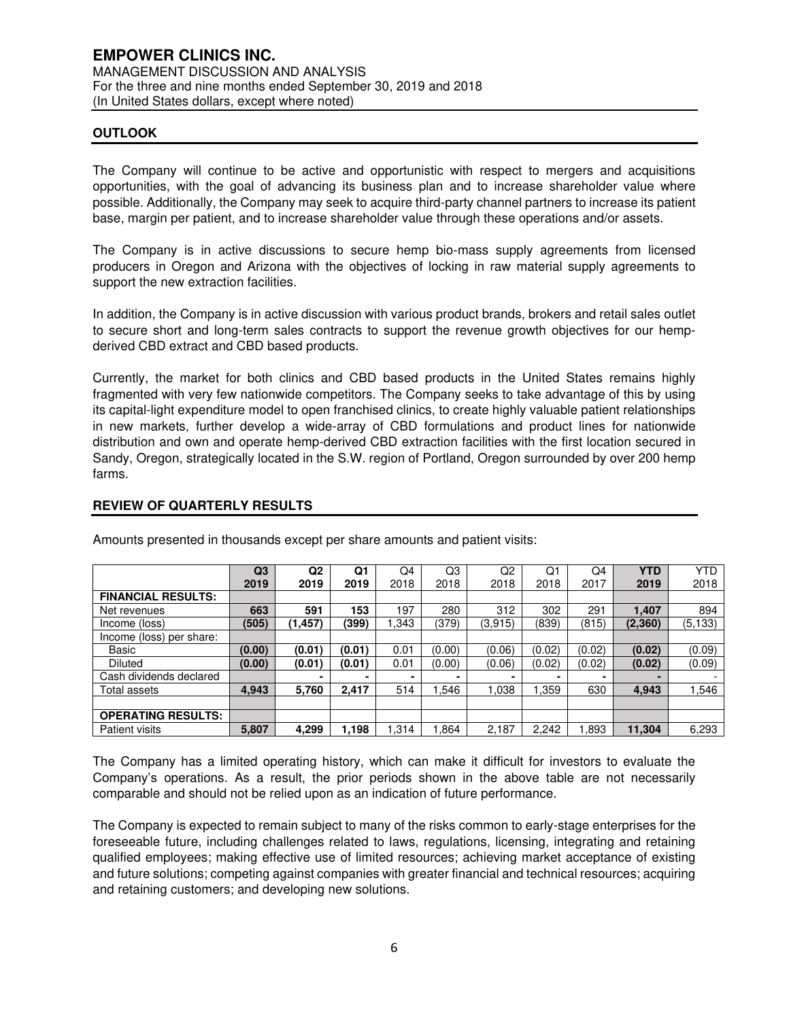# **OUTLOOK**

The Company will continue to be active and opportunistic with respect to mergers and acquisitions opportunities, with the goal of advancing its business plan and to increase shareholder value where possible. Additionally, the Company may seek to acquire third-party channel partners to increase its patient base, margin per patient, and to increase shareholder value through these operations and/or assets.

The Company is in active discussions to secure hemp bio-mass supply agreements from licensed producers in Oregon and Arizona with the objectives of locking in raw material supply agreements to support the new extraction facilities.

In addition, the Company is in active discussion with various product brands, brokers and retail sales outlet to secure short and long-term sales contracts to support the revenue growth objectives for our hempderived CBD extract and CBD based products.

Currently, the market for both clinics and CBD based products in the United States remains highly fragmented with very few nationwide competitors. The Company seeks to take advantage of this by using its capital-light expenditure model to open franchised clinics, to create highly valuable patient relationships in new markets, further develop a wide-array of CBD formulations and product lines for nationwide distribution and own and operate hemp-derived CBD extraction facilities with the first location secured in Sandy, Oregon, strategically located in the S.W. region of Portland, Oregon surrounded by over 200 hemp farms.

|                           | Q3     | Q <sub>2</sub> | Q1     | Q4   | Q3     | Q <sub>2</sub> | Q1     | Q4     | <b>YTD</b> | <b>YTD</b> |
|---------------------------|--------|----------------|--------|------|--------|----------------|--------|--------|------------|------------|
|                           | 2019   | 2019           | 2019   | 2018 | 2018   | 2018           | 2018   | 2017   | 2019       | 2018       |
| <b>FINANCIAL RESULTS:</b> |        |                |        |      |        |                |        |        |            |            |
| Net revenues              | 663    | 591            | 153    | 197  | 280    | 312            | 302    | 291    | .407       | 894        |
| Income (loss)             | (505)  | (1, 457)       | (399)  | .343 | (379)  | (3,915)        | (839)  | (815)  | (2,360)    | (5, 133)   |
| Income (loss) per share:  |        |                |        |      |        |                |        |        |            |            |
| Basic                     | (0.00) | (0.01)         | (0.01) | 0.01 | (0.00) | (0.06)         | (0.02) | (0.02) | (0.02)     | (0.09)     |
| <b>Diluted</b>            | (0.00) | (0.01)         | (0.01) | 0.01 | (0.00) | (0.06)         | (0.02) | (0.02) | (0.02)     | (0.09)     |
| Cash dividends declared   |        |                | ۰      |      |        |                |        |        |            |            |
| Total assets              | 4.943  | 5,760          | 2.417  | 514  | .546   | 1.038          | .359   | 630    | 4.943      | 1,546      |
|                           |        |                |        |      |        |                |        |        |            |            |
| <b>OPERATING RESULTS:</b> |        |                |        |      |        |                |        |        |            |            |
| Patient visits            | 5,807  | 4,299          | 1,198  | .314 | .864   | 2,187          | 2,242  | 1.893  | 11.304     | 6,293      |

# **REVIEW OF QUARTERLY RESULTS**

Amounts presented in thousands except per share amounts and patient visits:

The Company has a limited operating history, which can make it difficult for investors to evaluate the Company's operations. As a result, the prior periods shown in the above table are not necessarily comparable and should not be relied upon as an indication of future performance.

The Company is expected to remain subject to many of the risks common to early-stage enterprises for the foreseeable future, including challenges related to laws, regulations, licensing, integrating and retaining qualified employees; making effective use of limited resources; achieving market acceptance of existing and future solutions; competing against companies with greater financial and technical resources; acquiring and retaining customers; and developing new solutions.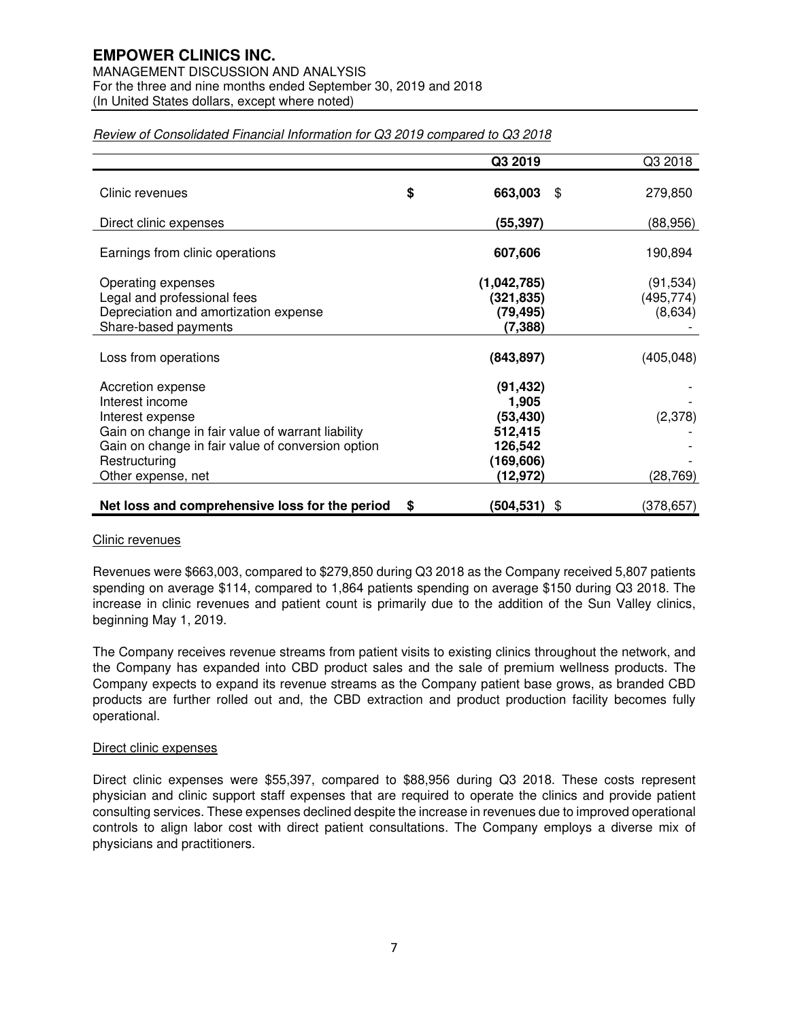# **EMPOWER CLINICS INC.**

MANAGEMENT DISCUSSION AND ANALYSIS For the three and nine months ended September 30, 2019 and 2018 (In United States dollars, except where noted)

|                                                                                                                                                                                                           | Q3 2019                                                                          | Q3 2018                            |
|-----------------------------------------------------------------------------------------------------------------------------------------------------------------------------------------------------------|----------------------------------------------------------------------------------|------------------------------------|
| Clinic revenues                                                                                                                                                                                           | \$<br>663,003<br>\$                                                              | 279,850                            |
| Direct clinic expenses                                                                                                                                                                                    | (55, 397)                                                                        | (88, 956)                          |
| Earnings from clinic operations                                                                                                                                                                           | 607,606                                                                          | 190,894                            |
| Operating expenses<br>Legal and professional fees<br>Depreciation and amortization expense<br>Share-based payments                                                                                        | (1,042,785)<br>(321, 835)<br>(79, 495)<br>(7,388)                                | (91, 534)<br>(495, 774)<br>(8,634) |
| Loss from operations                                                                                                                                                                                      | (843, 897)                                                                       | (405, 048)                         |
| Accretion expense<br>Interest income<br>Interest expense<br>Gain on change in fair value of warrant liability<br>Gain on change in fair value of conversion option<br>Restructuring<br>Other expense, net | (91, 432)<br>1,905<br>(53, 430)<br>512,415<br>126,542<br>(169, 606)<br>(12, 972) | (2,378)<br>(28, 769)               |
| Net loss and comprehensive loss for the period                                                                                                                                                            | \$<br>(504, 531)<br>\$                                                           | (378, 657)                         |

# Review of Consolidated Financial Information for Q3 2019 compared to Q3 2018

# Clinic revenues

Revenues were \$663,003, compared to \$279,850 during Q3 2018 as the Company received 5,807 patients spending on average \$114, compared to 1,864 patients spending on average \$150 during Q3 2018. The increase in clinic revenues and patient count is primarily due to the addition of the Sun Valley clinics, beginning May 1, 2019.

The Company receives revenue streams from patient visits to existing clinics throughout the network, and the Company has expanded into CBD product sales and the sale of premium wellness products. The Company expects to expand its revenue streams as the Company patient base grows, as branded CBD products are further rolled out and, the CBD extraction and product production facility becomes fully operational.

# Direct clinic expenses

Direct clinic expenses were \$55,397, compared to \$88,956 during Q3 2018. These costs represent physician and clinic support staff expenses that are required to operate the clinics and provide patient consulting services. These expenses declined despite the increase in revenues due to improved operational controls to align labor cost with direct patient consultations. The Company employs a diverse mix of physicians and practitioners.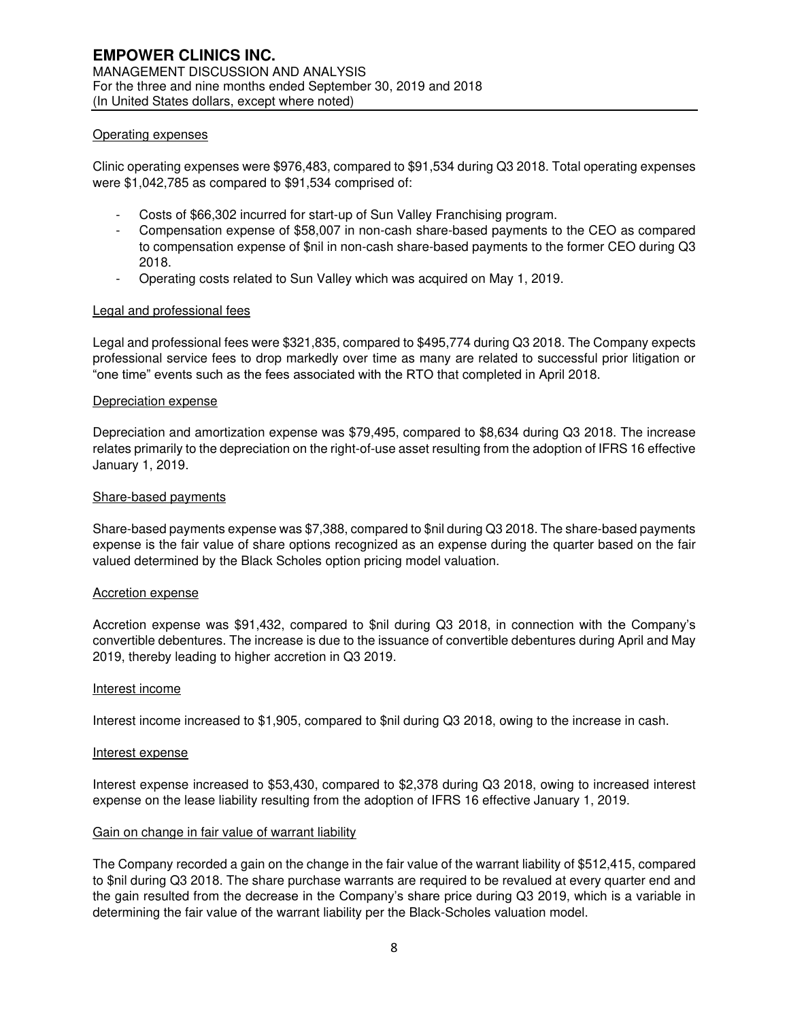#### Operating expenses

Clinic operating expenses were \$976,483, compared to \$91,534 during Q3 2018. Total operating expenses were \$1,042,785 as compared to \$91,534 comprised of:

- Costs of \$66,302 incurred for start-up of Sun Valley Franchising program.
- Compensation expense of \$58,007 in non-cash share-based payments to the CEO as compared to compensation expense of \$nil in non-cash share-based payments to the former CEO during Q3 2018.
- Operating costs related to Sun Valley which was acquired on May 1, 2019.

# Legal and professional fees

Legal and professional fees were \$321,835, compared to \$495,774 during Q3 2018. The Company expects professional service fees to drop markedly over time as many are related to successful prior litigation or "one time" events such as the fees associated with the RTO that completed in April 2018.

#### Depreciation expense

Depreciation and amortization expense was \$79,495, compared to \$8,634 during Q3 2018. The increase relates primarily to the depreciation on the right-of-use asset resulting from the adoption of IFRS 16 effective January 1, 2019.

#### Share-based payments

Share-based payments expense was \$7,388, compared to \$nil during Q3 2018. The share-based payments expense is the fair value of share options recognized as an expense during the quarter based on the fair valued determined by the Black Scholes option pricing model valuation.

# Accretion expense

Accretion expense was \$91,432, compared to \$nil during Q3 2018, in connection with the Company's convertible debentures. The increase is due to the issuance of convertible debentures during April and May 2019, thereby leading to higher accretion in Q3 2019.

#### Interest income

Interest income increased to \$1,905, compared to \$nil during Q3 2018, owing to the increase in cash.

#### Interest expense

Interest expense increased to \$53,430, compared to \$2,378 during Q3 2018, owing to increased interest expense on the lease liability resulting from the adoption of IFRS 16 effective January 1, 2019.

# Gain on change in fair value of warrant liability

The Company recorded a gain on the change in the fair value of the warrant liability of \$512,415, compared to \$nil during Q3 2018. The share purchase warrants are required to be revalued at every quarter end and the gain resulted from the decrease in the Company's share price during Q3 2019, which is a variable in determining the fair value of the warrant liability per the Black-Scholes valuation model.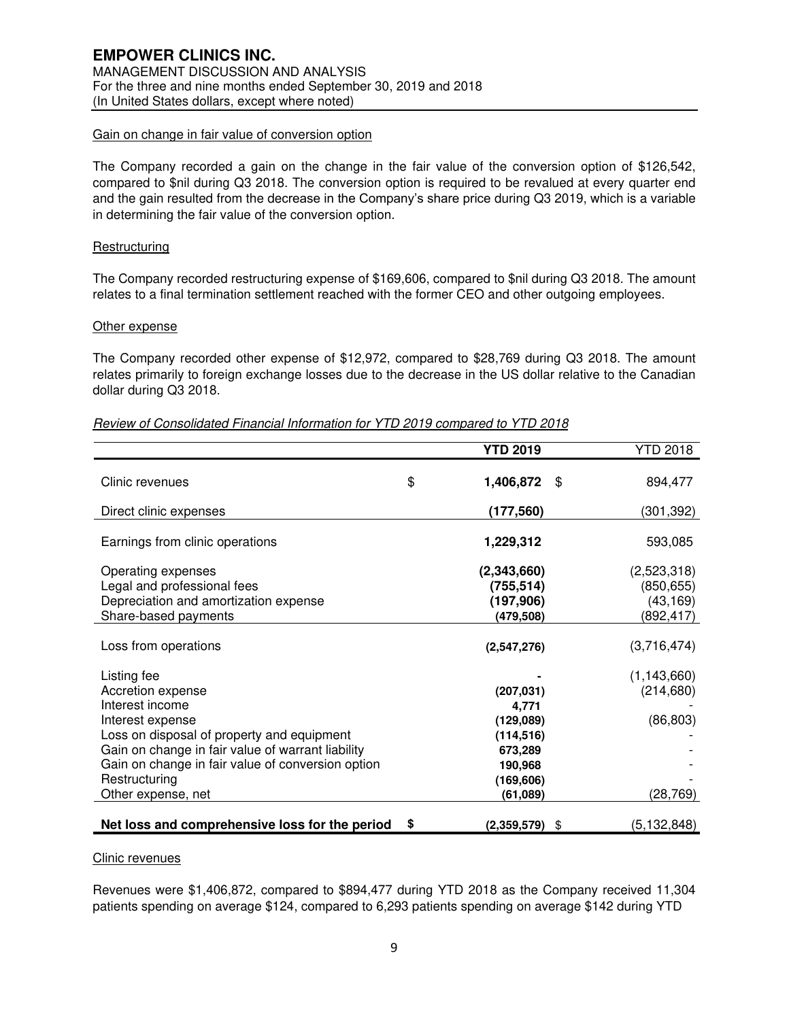# Gain on change in fair value of conversion option

The Company recorded a gain on the change in the fair value of the conversion option of \$126,542, compared to \$nil during Q3 2018. The conversion option is required to be revalued at every quarter end and the gain resulted from the decrease in the Company's share price during Q3 2019, which is a variable in determining the fair value of the conversion option.

#### **Restructuring**

The Company recorded restructuring expense of \$169,606, compared to \$nil during Q3 2018. The amount relates to a final termination settlement reached with the former CEO and other outgoing employees.

#### Other expense

The Company recorded other expense of \$12,972, compared to \$28,769 during Q3 2018. The amount relates primarily to foreign exchange losses due to the decrease in the US dollar relative to the Canadian dollar during Q3 2018.

#### Review of Consolidated Financial Information for YTD 2019 compared to YTD 2018

|                                                                                                        | <b>YTD 2019</b>           | <b>YTD 2018</b>           |
|--------------------------------------------------------------------------------------------------------|---------------------------|---------------------------|
| Clinic revenues                                                                                        | \$<br>1,406,872<br>\$     | 894,477                   |
| Direct clinic expenses                                                                                 | (177, 560)                | (301,392)                 |
| Earnings from clinic operations                                                                        | 1,229,312                 | 593,085                   |
| Operating expenses<br>Legal and professional fees                                                      | (2,343,660)<br>(755, 514) | (2,523,318)<br>(850, 655) |
| Depreciation and amortization expense<br>Share-based payments                                          | (197, 906)<br>(479, 508)  | (43, 169)<br>(892,417)    |
|                                                                                                        |                           |                           |
| Loss from operations                                                                                   | (2,547,276)               | (3,716,474)               |
| Listing fee                                                                                            |                           | (1, 143, 660)             |
| Accretion expense<br>Interest income                                                                   | (207, 031)                | (214, 680)                |
| Interest expense                                                                                       | 4,771<br>(129,089)        | (86, 803)                 |
| Loss on disposal of property and equipment                                                             | (114, 516)                |                           |
| Gain on change in fair value of warrant liability<br>Gain on change in fair value of conversion option | 673,289                   |                           |
| Restructuring                                                                                          | 190,968<br>(169, 606)     |                           |
| Other expense, net                                                                                     | (61,089)                  | (28,769)                  |
| Net loss and comprehensive loss for the period                                                         | \$<br>$(2,359,579)$ \$    | (5, 132, 848)             |

#### Clinic revenues

Revenues were \$1,406,872, compared to \$894,477 during YTD 2018 as the Company received 11,304 patients spending on average \$124, compared to 6,293 patients spending on average \$142 during YTD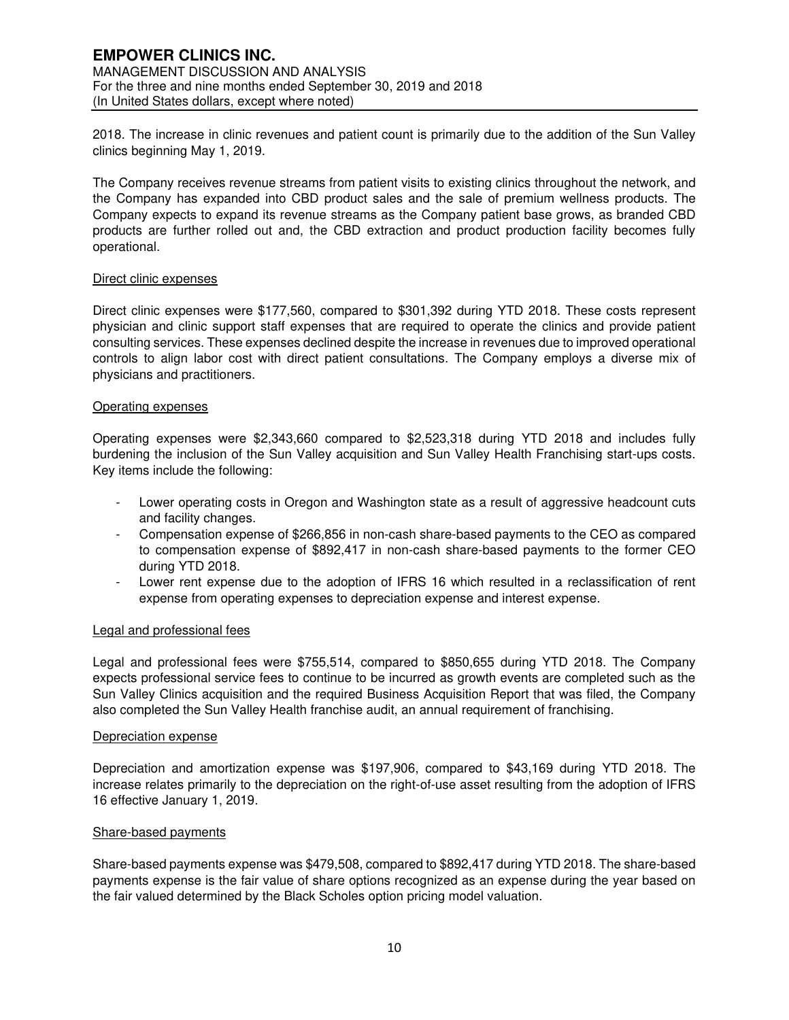2018. The increase in clinic revenues and patient count is primarily due to the addition of the Sun Valley clinics beginning May 1, 2019.

The Company receives revenue streams from patient visits to existing clinics throughout the network, and the Company has expanded into CBD product sales and the sale of premium wellness products. The Company expects to expand its revenue streams as the Company patient base grows, as branded CBD products are further rolled out and, the CBD extraction and product production facility becomes fully operational.

# Direct clinic expenses

Direct clinic expenses were \$177,560, compared to \$301,392 during YTD 2018. These costs represent physician and clinic support staff expenses that are required to operate the clinics and provide patient consulting services. These expenses declined despite the increase in revenues due to improved operational controls to align labor cost with direct patient consultations. The Company employs a diverse mix of physicians and practitioners.

#### Operating expenses

Operating expenses were \$2,343,660 compared to \$2,523,318 during YTD 2018 and includes fully burdening the inclusion of the Sun Valley acquisition and Sun Valley Health Franchising start-ups costs. Key items include the following:

- Lower operating costs in Oregon and Washington state as a result of aggressive headcount cuts and facility changes.
- Compensation expense of \$266,856 in non-cash share-based payments to the CEO as compared to compensation expense of \$892,417 in non-cash share-based payments to the former CEO during YTD 2018.
- Lower rent expense due to the adoption of IFRS 16 which resulted in a reclassification of rent expense from operating expenses to depreciation expense and interest expense.

# Legal and professional fees

Legal and professional fees were \$755,514, compared to \$850,655 during YTD 2018. The Company expects professional service fees to continue to be incurred as growth events are completed such as the Sun Valley Clinics acquisition and the required Business Acquisition Report that was filed, the Company also completed the Sun Valley Health franchise audit, an annual requirement of franchising.

#### Depreciation expense

Depreciation and amortization expense was \$197,906, compared to \$43,169 during YTD 2018. The increase relates primarily to the depreciation on the right-of-use asset resulting from the adoption of IFRS 16 effective January 1, 2019.

# Share-based payments

Share-based payments expense was \$479,508, compared to \$892,417 during YTD 2018. The share-based payments expense is the fair value of share options recognized as an expense during the year based on the fair valued determined by the Black Scholes option pricing model valuation.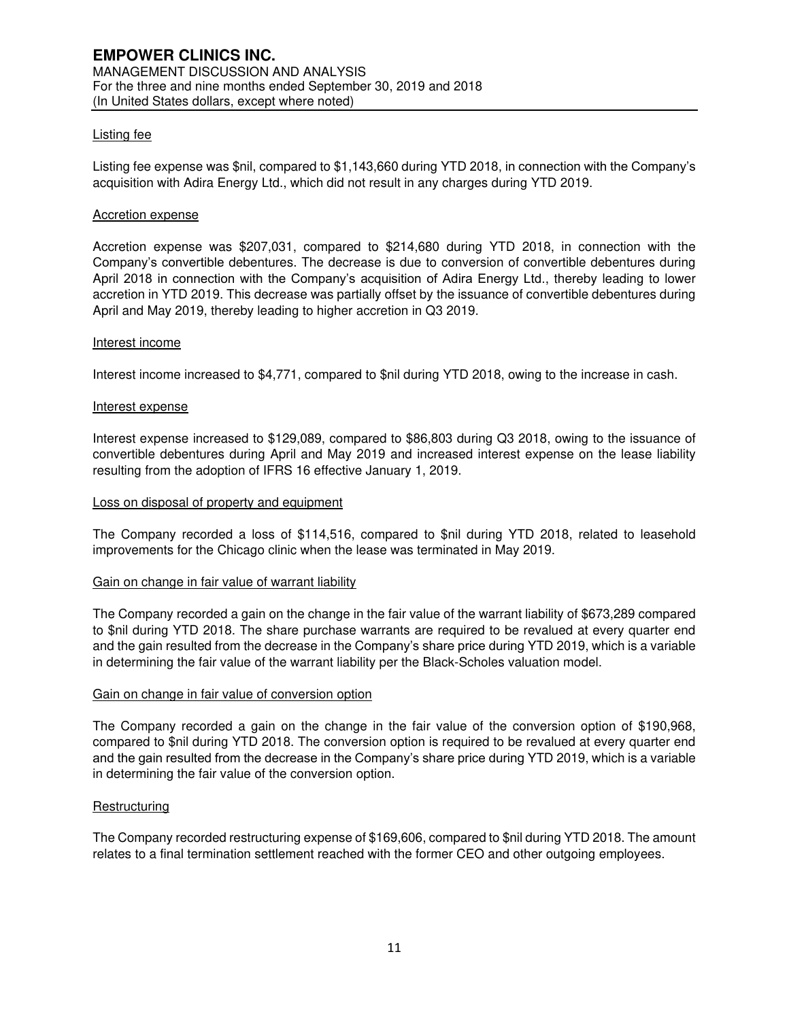# Listing fee

Listing fee expense was \$nil, compared to \$1,143,660 during YTD 2018, in connection with the Company's acquisition with Adira Energy Ltd., which did not result in any charges during YTD 2019.

#### Accretion expense

Accretion expense was \$207,031, compared to \$214,680 during YTD 2018, in connection with the Company's convertible debentures. The decrease is due to conversion of convertible debentures during April 2018 in connection with the Company's acquisition of Adira Energy Ltd., thereby leading to lower accretion in YTD 2019. This decrease was partially offset by the issuance of convertible debentures during April and May 2019, thereby leading to higher accretion in Q3 2019.

#### Interest income

Interest income increased to \$4,771, compared to \$nil during YTD 2018, owing to the increase in cash.

#### Interest expense

Interest expense increased to \$129,089, compared to \$86,803 during Q3 2018, owing to the issuance of convertible debentures during April and May 2019 and increased interest expense on the lease liability resulting from the adoption of IFRS 16 effective January 1, 2019.

#### Loss on disposal of property and equipment

The Company recorded a loss of \$114,516, compared to \$nil during YTD 2018, related to leasehold improvements for the Chicago clinic when the lease was terminated in May 2019.

# Gain on change in fair value of warrant liability

The Company recorded a gain on the change in the fair value of the warrant liability of \$673,289 compared to \$nil during YTD 2018. The share purchase warrants are required to be revalued at every quarter end and the gain resulted from the decrease in the Company's share price during YTD 2019, which is a variable in determining the fair value of the warrant liability per the Black-Scholes valuation model.

# Gain on change in fair value of conversion option

The Company recorded a gain on the change in the fair value of the conversion option of \$190,968, compared to \$nil during YTD 2018. The conversion option is required to be revalued at every quarter end and the gain resulted from the decrease in the Company's share price during YTD 2019, which is a variable in determining the fair value of the conversion option.

# **Restructuring**

The Company recorded restructuring expense of \$169,606, compared to \$nil during YTD 2018. The amount relates to a final termination settlement reached with the former CEO and other outgoing employees.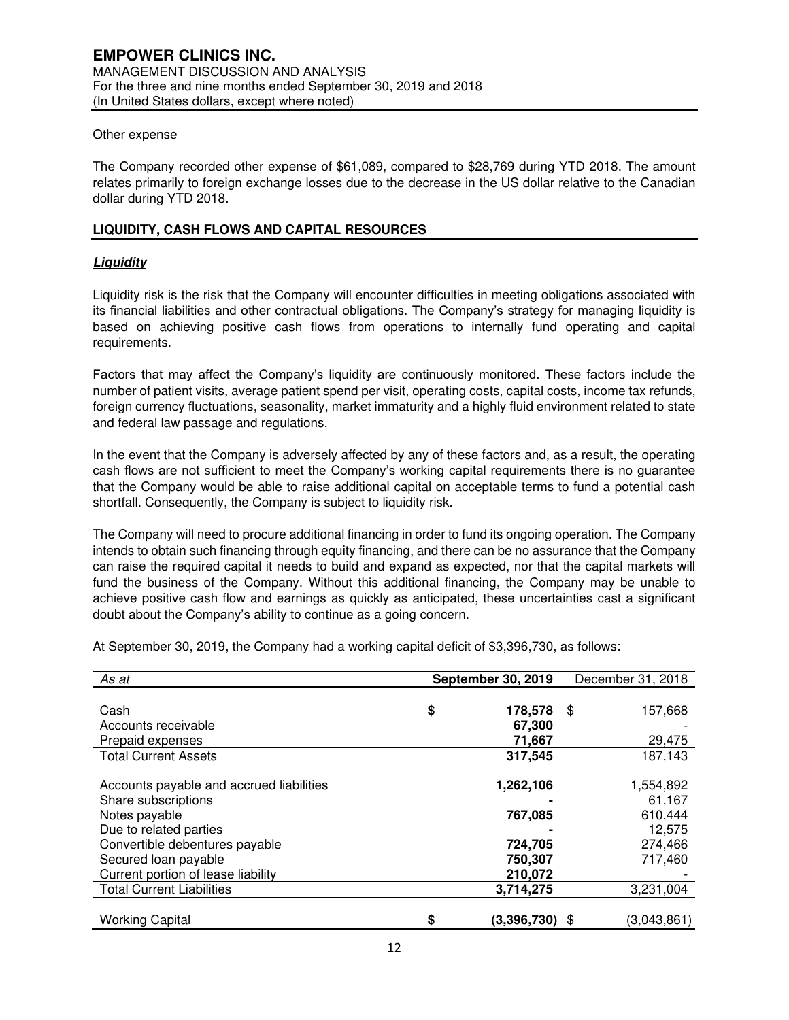# Other expense

The Company recorded other expense of \$61,089, compared to \$28,769 during YTD 2018. The amount relates primarily to foreign exchange losses due to the decrease in the US dollar relative to the Canadian dollar during YTD 2018.

# **LIQUIDITY, CASH FLOWS AND CAPITAL RESOURCES**

# **Liquidity**

Liquidity risk is the risk that the Company will encounter difficulties in meeting obligations associated with its financial liabilities and other contractual obligations. The Company's strategy for managing liquidity is based on achieving positive cash flows from operations to internally fund operating and capital requirements.

Factors that may affect the Company's liquidity are continuously monitored. These factors include the number of patient visits, average patient spend per visit, operating costs, capital costs, income tax refunds, foreign currency fluctuations, seasonality, market immaturity and a highly fluid environment related to state and federal law passage and regulations.

In the event that the Company is adversely affected by any of these factors and, as a result, the operating cash flows are not sufficient to meet the Company's working capital requirements there is no guarantee that the Company would be able to raise additional capital on acceptable terms to fund a potential cash shortfall. Consequently, the Company is subject to liquidity risk.

The Company will need to procure additional financing in order to fund its ongoing operation. The Company intends to obtain such financing through equity financing, and there can be no assurance that the Company can raise the required capital it needs to build and expand as expected, nor that the capital markets will fund the business of the Company. Without this additional financing, the Company may be unable to achieve positive cash flow and earnings as quickly as anticipated, these uncertainties cast a significant doubt about the Company's ability to continue as a going concern.

| As at                                    | <b>September 30, 2019</b> | December 31, 2018 |  |
|------------------------------------------|---------------------------|-------------------|--|
|                                          |                           |                   |  |
| Cash                                     | \$<br>178,578             | 157,668<br>- \$   |  |
| Accounts receivable                      | 67,300                    |                   |  |
| Prepaid expenses                         | 71,667                    | 29,475            |  |
| <b>Total Current Assets</b>              | 317,545                   | 187,143           |  |
| Accounts payable and accrued liabilities | 1,262,106                 | 1,554,892         |  |
| Share subscriptions                      |                           | 61,167            |  |
| Notes payable                            | 767,085                   | 610,444           |  |
| Due to related parties                   |                           | 12,575            |  |
| Convertible debentures payable           | 724,705                   | 274,466           |  |
| Secured loan payable                     | 750,307                   | 717,460           |  |
| Current portion of lease liability       | 210,072                   |                   |  |
| <b>Total Current Liabilities</b>         | 3,714,275                 | 3,231,004         |  |
|                                          |                           |                   |  |
| <b>Working Capital</b>                   | \$<br>$(3,396,730)$ \$    | (3,043,861)       |  |

At September 30, 2019, the Company had a working capital deficit of \$3,396,730, as follows: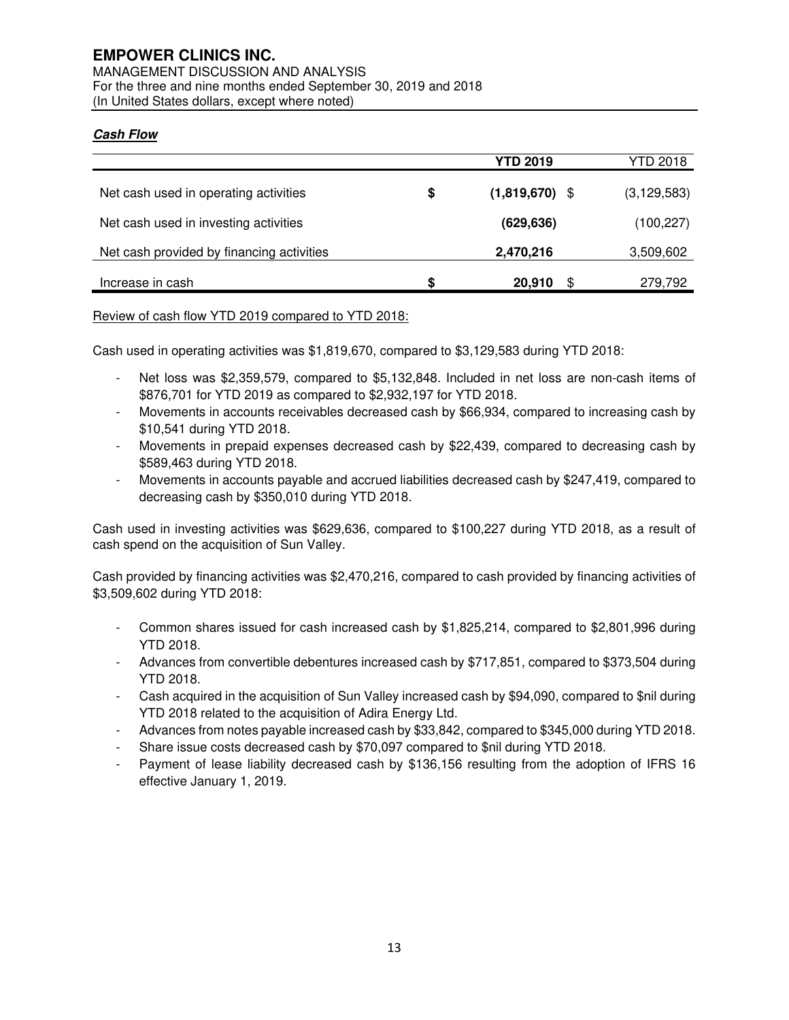# **EMPOWER CLINICS INC.**

MANAGEMENT DISCUSSION AND ANALYSIS For the three and nine months ended September 30, 2019 and 2018 (In United States dollars, except where noted)

# **Cash Flow**

|                                           |    | <b>YTD 2019</b>  | YTD 2018      |
|-------------------------------------------|----|------------------|---------------|
| Net cash used in operating activities     | \$ | $(1,819,670)$ \$ | (3, 129, 583) |
| Net cash used in investing activities     |    | (629, 636)       | (100, 227)    |
| Net cash provided by financing activities |    | 2,470,216        | 3,509,602     |
| Increase in cash                          | S  | 20,910           | 279,792       |

# Review of cash flow YTD 2019 compared to YTD 2018:

Cash used in operating activities was \$1,819,670, compared to \$3,129,583 during YTD 2018:

- Net loss was \$2,359,579, compared to \$5,132,848. Included in net loss are non-cash items of \$876,701 for YTD 2019 as compared to \$2,932,197 for YTD 2018.
- Movements in accounts receivables decreased cash by \$66,934, compared to increasing cash by \$10,541 during YTD 2018.
- Movements in prepaid expenses decreased cash by \$22,439, compared to decreasing cash by \$589,463 during YTD 2018.
- Movements in accounts payable and accrued liabilities decreased cash by \$247,419, compared to decreasing cash by \$350,010 during YTD 2018.

Cash used in investing activities was \$629,636, compared to \$100,227 during YTD 2018, as a result of cash spend on the acquisition of Sun Valley.

Cash provided by financing activities was \$2,470,216, compared to cash provided by financing activities of \$3,509,602 during YTD 2018:

- Common shares issued for cash increased cash by \$1,825,214, compared to \$2,801,996 during YTD 2018.
- Advances from convertible debentures increased cash by \$717,851, compared to \$373,504 during YTD 2018.
- Cash acquired in the acquisition of Sun Valley increased cash by \$94,090, compared to \$nil during YTD 2018 related to the acquisition of Adira Energy Ltd.
- Advances from notes payable increased cash by \$33,842, compared to \$345,000 during YTD 2018.
- Share issue costs decreased cash by \$70,097 compared to \$nil during YTD 2018.
- Payment of lease liability decreased cash by \$136,156 resulting from the adoption of IFRS 16 effective January 1, 2019.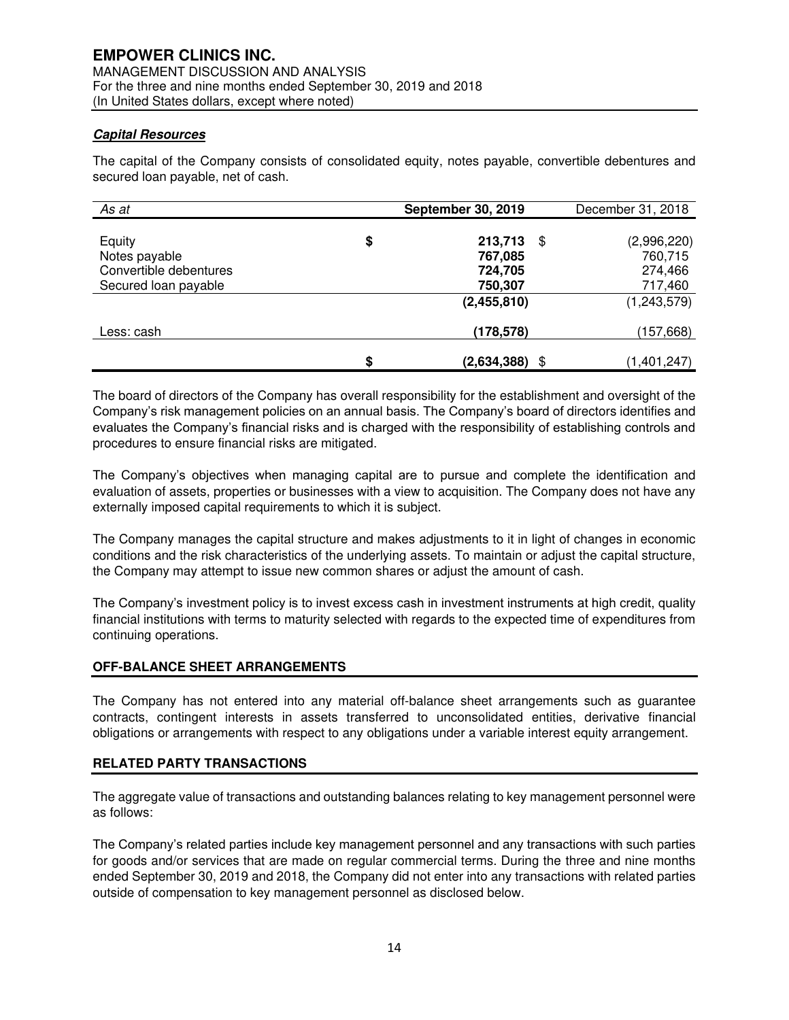# **Capital Resources**

The capital of the Company consists of consolidated equity, notes payable, convertible debentures and secured loan payable, net of cash.

| As at                  |     | <b>September 30, 2019</b> | December 31, 2018 |
|------------------------|-----|---------------------------|-------------------|
| Equity                 | \$  | 213,713<br>\$             | (2,996,220)       |
| Notes payable          |     | 767,085                   | 760,715           |
| Convertible debentures |     | 724,705                   | 274,466           |
| Secured loan payable   |     | 750,307                   | 717,460           |
|                        |     | (2,455,810)               | (1,243,579)       |
| Less: cash             |     | (178, 578)                | (157,668)         |
|                        | \$. | (2,634,388)<br>S          | (1,401,247)       |

The board of directors of the Company has overall responsibility for the establishment and oversight of the Company's risk management policies on an annual basis. The Company's board of directors identifies and evaluates the Company's financial risks and is charged with the responsibility of establishing controls and procedures to ensure financial risks are mitigated.

The Company's objectives when managing capital are to pursue and complete the identification and evaluation of assets, properties or businesses with a view to acquisition. The Company does not have any externally imposed capital requirements to which it is subject.

The Company manages the capital structure and makes adjustments to it in light of changes in economic conditions and the risk characteristics of the underlying assets. To maintain or adjust the capital structure, the Company may attempt to issue new common shares or adjust the amount of cash.

The Company's investment policy is to invest excess cash in investment instruments at high credit, quality financial institutions with terms to maturity selected with regards to the expected time of expenditures from continuing operations.

# **OFF-BALANCE SHEET ARRANGEMENTS**

The Company has not entered into any material off-balance sheet arrangements such as guarantee contracts, contingent interests in assets transferred to unconsolidated entities, derivative financial obligations or arrangements with respect to any obligations under a variable interest equity arrangement.

# **RELATED PARTY TRANSACTIONS**

The aggregate value of transactions and outstanding balances relating to key management personnel were as follows:

The Company's related parties include key management personnel and any transactions with such parties for goods and/or services that are made on regular commercial terms. During the three and nine months ended September 30, 2019 and 2018, the Company did not enter into any transactions with related parties outside of compensation to key management personnel as disclosed below.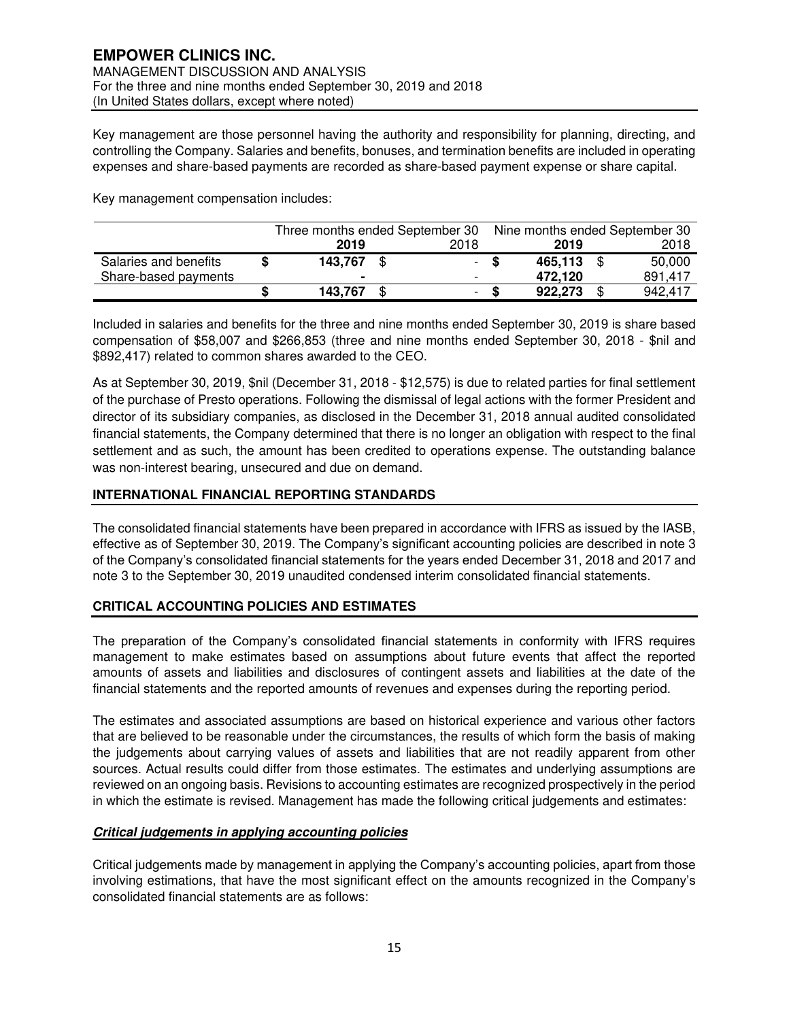Key management are those personnel having the authority and responsibility for planning, directing, and controlling the Company. Salaries and benefits, bonuses, and termination benefits are included in operating expenses and share-based payments are recorded as share-based payment expense or share capital.

Key management compensation includes:

|                       | Three months ended September 30 |                |     | Nine months ended September 30 |     |         |  |         |
|-----------------------|---------------------------------|----------------|-----|--------------------------------|-----|---------|--|---------|
|                       |                                 | 2019           |     | 2018                           |     | 2019    |  | 2018    |
| Salaries and benefits |                                 | 143,767        | -\$ | $\overline{\phantom{a}}$       | - S | 465.113 |  | 50,000  |
| Share-based payments  |                                 | $\blacksquare$ |     | $\overline{\phantom{0}}$       |     | 472.120 |  | 891.417 |
|                       |                                 | 143.767        |     | ۰                              |     | 922.273 |  | 942.417 |

Included in salaries and benefits for the three and nine months ended September 30, 2019 is share based compensation of \$58,007 and \$266,853 (three and nine months ended September 30, 2018 - \$nil and \$892,417) related to common shares awarded to the CEO.

As at September 30, 2019, \$nil (December 31, 2018 - \$12,575) is due to related parties for final settlement of the purchase of Presto operations. Following the dismissal of legal actions with the former President and director of its subsidiary companies, as disclosed in the December 31, 2018 annual audited consolidated financial statements, the Company determined that there is no longer an obligation with respect to the final settlement and as such, the amount has been credited to operations expense. The outstanding balance was non-interest bearing, unsecured and due on demand.

# **INTERNATIONAL FINANCIAL REPORTING STANDARDS**

The consolidated financial statements have been prepared in accordance with IFRS as issued by the IASB, effective as of September 30, 2019. The Company's significant accounting policies are described in note 3 of the Company's consolidated financial statements for the years ended December 31, 2018 and 2017 and note 3 to the September 30, 2019 unaudited condensed interim consolidated financial statements.

# **CRITICAL ACCOUNTING POLICIES AND ESTIMATES**

The preparation of the Company's consolidated financial statements in conformity with IFRS requires management to make estimates based on assumptions about future events that affect the reported amounts of assets and liabilities and disclosures of contingent assets and liabilities at the date of the financial statements and the reported amounts of revenues and expenses during the reporting period.

The estimates and associated assumptions are based on historical experience and various other factors that are believed to be reasonable under the circumstances, the results of which form the basis of making the judgements about carrying values of assets and liabilities that are not readily apparent from other sources. Actual results could differ from those estimates. The estimates and underlying assumptions are reviewed on an ongoing basis. Revisions to accounting estimates are recognized prospectively in the period in which the estimate is revised. Management has made the following critical judgements and estimates:

# **Critical judgements in applying accounting policies**

Critical judgements made by management in applying the Company's accounting policies, apart from those involving estimations, that have the most significant effect on the amounts recognized in the Company's consolidated financial statements are as follows: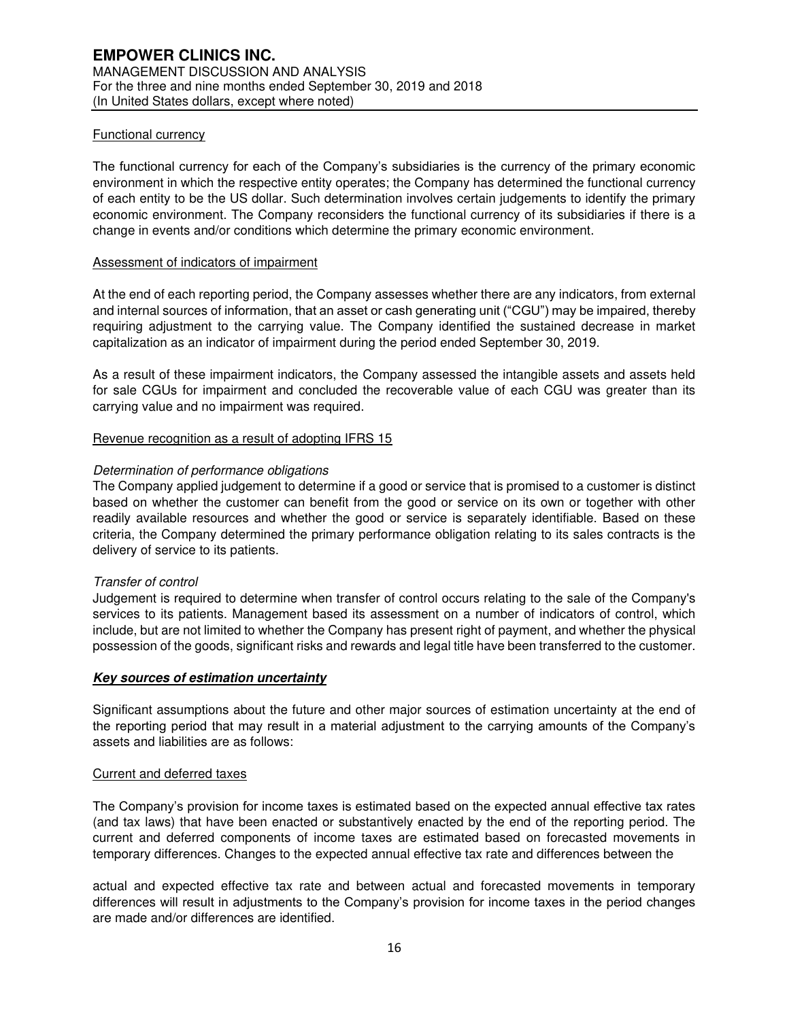# Functional currency

The functional currency for each of the Company's subsidiaries is the currency of the primary economic environment in which the respective entity operates; the Company has determined the functional currency of each entity to be the US dollar. Such determination involves certain judgements to identify the primary economic environment. The Company reconsiders the functional currency of its subsidiaries if there is a change in events and/or conditions which determine the primary economic environment.

# Assessment of indicators of impairment

At the end of each reporting period, the Company assesses whether there are any indicators, from external and internal sources of information, that an asset or cash generating unit ("CGU") may be impaired, thereby requiring adjustment to the carrying value. The Company identified the sustained decrease in market capitalization as an indicator of impairment during the period ended September 30, 2019.

As a result of these impairment indicators, the Company assessed the intangible assets and assets held for sale CGUs for impairment and concluded the recoverable value of each CGU was greater than its carrying value and no impairment was required.

# Revenue recognition as a result of adopting IFRS 15

# Determination of performance obligations

The Company applied judgement to determine if a good or service that is promised to a customer is distinct based on whether the customer can benefit from the good or service on its own or together with other readily available resources and whether the good or service is separately identifiable. Based on these criteria, the Company determined the primary performance obligation relating to its sales contracts is the delivery of service to its patients.

# Transfer of control

Judgement is required to determine when transfer of control occurs relating to the sale of the Company's services to its patients. Management based its assessment on a number of indicators of control, which include, but are not limited to whether the Company has present right of payment, and whether the physical possession of the goods, significant risks and rewards and legal title have been transferred to the customer.

# **Key sources of estimation uncertainty**

Significant assumptions about the future and other major sources of estimation uncertainty at the end of the reporting period that may result in a material adjustment to the carrying amounts of the Company's assets and liabilities are as follows:

# Current and deferred taxes

The Company's provision for income taxes is estimated based on the expected annual effective tax rates (and tax laws) that have been enacted or substantively enacted by the end of the reporting period. The current and deferred components of income taxes are estimated based on forecasted movements in temporary differences. Changes to the expected annual effective tax rate and differences between the

actual and expected effective tax rate and between actual and forecasted movements in temporary differences will result in adjustments to the Company's provision for income taxes in the period changes are made and/or differences are identified.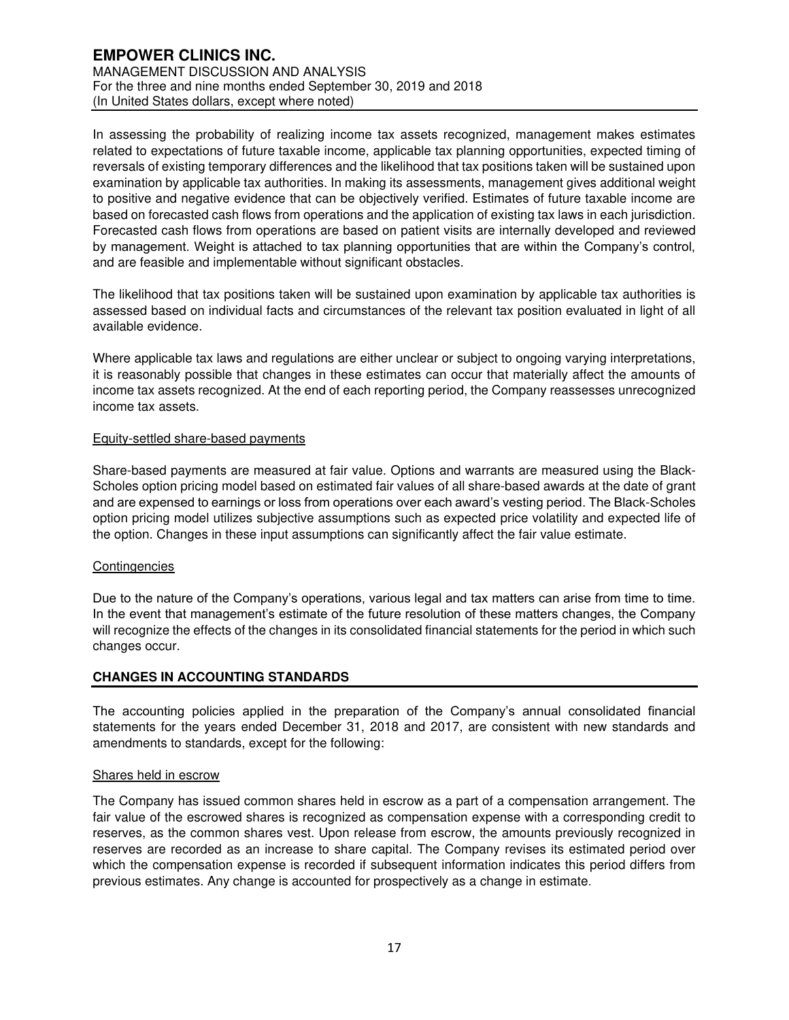In assessing the probability of realizing income tax assets recognized, management makes estimates related to expectations of future taxable income, applicable tax planning opportunities, expected timing of reversals of existing temporary differences and the likelihood that tax positions taken will be sustained upon examination by applicable tax authorities. In making its assessments, management gives additional weight to positive and negative evidence that can be objectively verified. Estimates of future taxable income are based on forecasted cash flows from operations and the application of existing tax laws in each jurisdiction. Forecasted cash flows from operations are based on patient visits are internally developed and reviewed by management. Weight is attached to tax planning opportunities that are within the Company's control, and are feasible and implementable without significant obstacles.

The likelihood that tax positions taken will be sustained upon examination by applicable tax authorities is assessed based on individual facts and circumstances of the relevant tax position evaluated in light of all available evidence.

Where applicable tax laws and regulations are either unclear or subject to ongoing varying interpretations, it is reasonably possible that changes in these estimates can occur that materially affect the amounts of income tax assets recognized. At the end of each reporting period, the Company reassesses unrecognized income tax assets.

# Equity-settled share-based payments

Share-based payments are measured at fair value. Options and warrants are measured using the Black-Scholes option pricing model based on estimated fair values of all share-based awards at the date of grant and are expensed to earnings or loss from operations over each award's vesting period. The Black-Scholes option pricing model utilizes subjective assumptions such as expected price volatility and expected life of the option. Changes in these input assumptions can significantly affect the fair value estimate.

# **Contingencies**

Due to the nature of the Company's operations, various legal and tax matters can arise from time to time. In the event that management's estimate of the future resolution of these matters changes, the Company will recognize the effects of the changes in its consolidated financial statements for the period in which such changes occur.

# **CHANGES IN ACCOUNTING STANDARDS**

The accounting policies applied in the preparation of the Company's annual consolidated financial statements for the years ended December 31, 2018 and 2017, are consistent with new standards and amendments to standards, except for the following:

# Shares held in escrow

The Company has issued common shares held in escrow as a part of a compensation arrangement. The fair value of the escrowed shares is recognized as compensation expense with a corresponding credit to reserves, as the common shares vest. Upon release from escrow, the amounts previously recognized in reserves are recorded as an increase to share capital. The Company revises its estimated period over which the compensation expense is recorded if subsequent information indicates this period differs from previous estimates. Any change is accounted for prospectively as a change in estimate.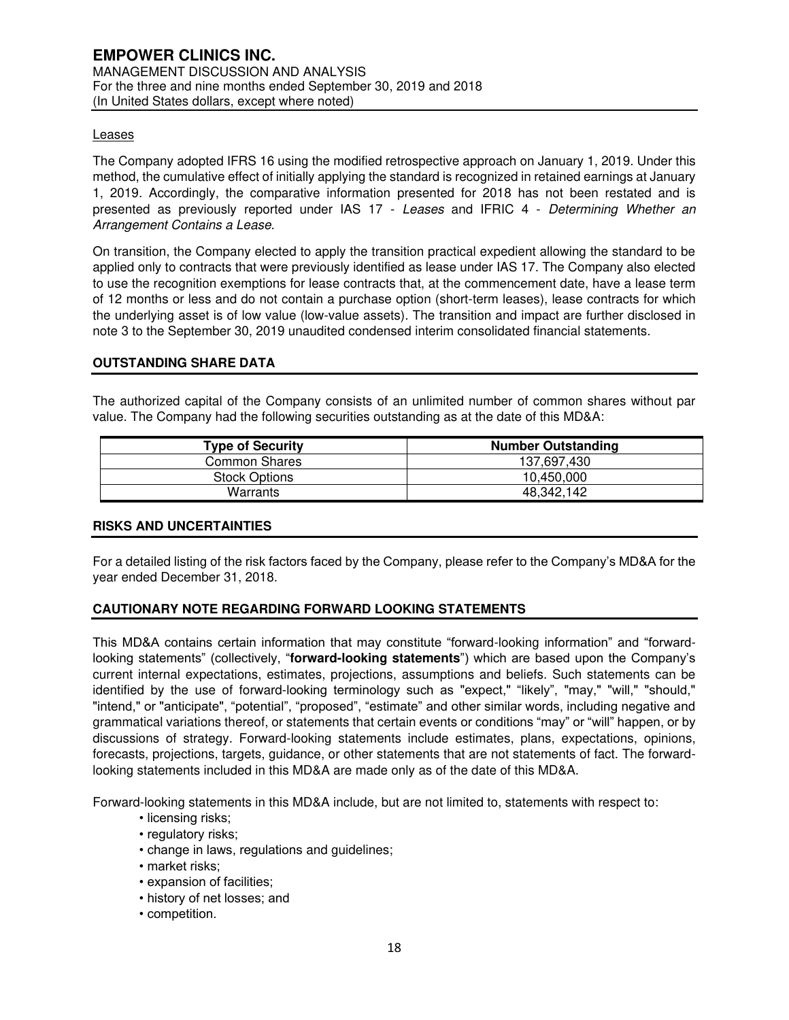# **Leases**

The Company adopted IFRS 16 using the modified retrospective approach on January 1, 2019. Under this method, the cumulative effect of initially applying the standard is recognized in retained earnings at January 1, 2019. Accordingly, the comparative information presented for 2018 has not been restated and is presented as previously reported under IAS 17 - Leases and IFRIC 4 - Determining Whether an Arrangement Contains a Lease.

On transition, the Company elected to apply the transition practical expedient allowing the standard to be applied only to contracts that were previously identified as lease under IAS 17. The Company also elected to use the recognition exemptions for lease contracts that, at the commencement date, have a lease term of 12 months or less and do not contain a purchase option (short-term leases), lease contracts for which the underlying asset is of low value (low-value assets). The transition and impact are further disclosed in note 3 to the September 30, 2019 unaudited condensed interim consolidated financial statements.

# **OUTSTANDING SHARE DATA**

The authorized capital of the Company consists of an unlimited number of common shares without par value. The Company had the following securities outstanding as at the date of this MD&A:

| <b>Type of Security</b> | <b>Number Outstanding</b> |  |  |  |  |
|-------------------------|---------------------------|--|--|--|--|
| <b>Common Shares</b>    | 137.697.430               |  |  |  |  |
| <b>Stock Options</b>    | 10.450.000                |  |  |  |  |
| Warrants                | 48.342.142                |  |  |  |  |

# **RISKS AND UNCERTAINTIES**

For a detailed listing of the risk factors faced by the Company, please refer to the Company's MD&A for the year ended December 31, 2018.

# **CAUTIONARY NOTE REGARDING FORWARD LOOKING STATEMENTS**

This MD&A contains certain information that may constitute "forward-looking information" and "forwardlooking statements" (collectively, "**forward-looking statements**") which are based upon the Company's current internal expectations, estimates, projections, assumptions and beliefs. Such statements can be identified by the use of forward-looking terminology such as "expect," "likely", "may," "will," "should," "intend," or "anticipate", "potential", "proposed", "estimate" and other similar words, including negative and grammatical variations thereof, or statements that certain events or conditions "may" or "will" happen, or by discussions of strategy. Forward-looking statements include estimates, plans, expectations, opinions, forecasts, projections, targets, guidance, or other statements that are not statements of fact. The forwardlooking statements included in this MD&A are made only as of the date of this MD&A.

Forward-looking statements in this MD&A include, but are not limited to, statements with respect to:

- licensing risks;
- regulatory risks;
- change in laws, regulations and guidelines;
- market risks;
- expansion of facilities;
- history of net losses; and
- competition.